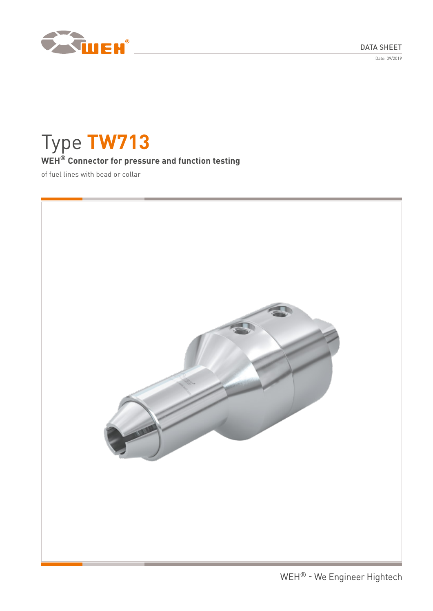DATA SHEET

Date: 09/2019



# Type **TW713**

# **WEH® Connector for pressure and function testing**

of fuel lines with bead or collar

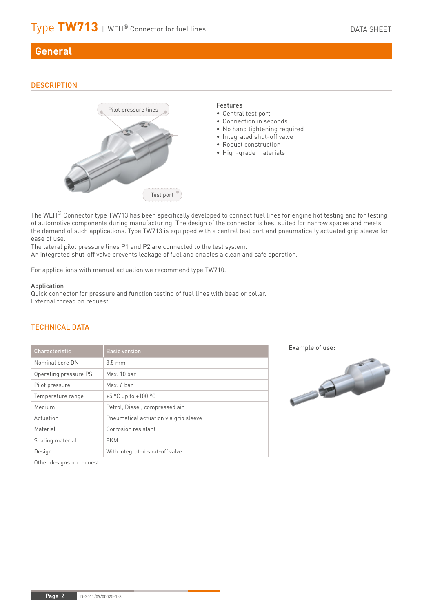# **General**

# **DESCRIPTION**



The WEH<sup>®</sup> Connector type TW713 has been specifically developed to connect fuel lines for engine hot testing and for testing of automotive components during manufacturing. The design of the connector is best suited for narrow spaces and meets the demand of such applications. Type TW713 is equipped with a central test port and pneumatically actuated grip sleeve for ease of use.

The lateral pilot pressure lines P1 and P2 are connected to the test system. An integrated shut-off valve prevents leakage of fuel and enables a clean and safe operation.

For applications with manual actuation we recommend type TW710.

#### Application

Quick connector for pressure and function testing of fuel lines with bead or collar. External thread on request.

| Characteristic        | <b>Basic version</b>                  |  |
|-----------------------|---------------------------------------|--|
| Nominal bore DN       | $3.5 \text{ mm}$                      |  |
| Operating pressure PS | Max. 10 bar                           |  |
| Pilot pressure        | Max. 6 bar                            |  |
| Temperature range     | +5 °C up to +100 °C                   |  |
| Medium                | Petrol, Diesel, compressed air        |  |
| Actuation             | Pneumatical actuation via grip sleeve |  |
| Material              | Corrosion resistant                   |  |
| Sealing material      | <b>FKM</b>                            |  |
| Design                | With integrated shut-off valve        |  |
|                       |                                       |  |

# TECHNICAL DATA





Other designs on request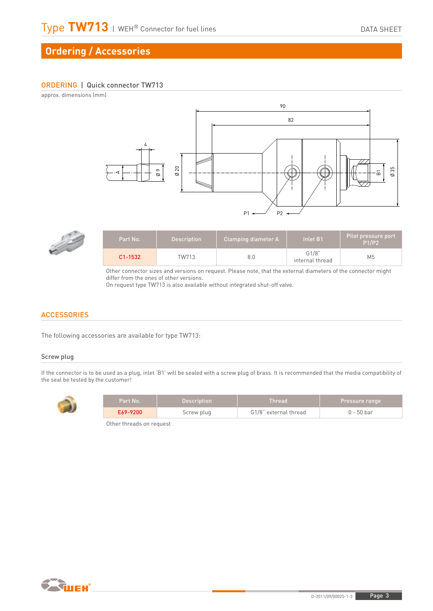# **Ordering / Accessories**

#### ORDERING | Quick connector TW713

approx. dimensions (mm)





| Part No. 1  | <b>Description</b> | Clamping diameter A | lnlet B1'                | Pilot pressure port<br><b>P1/P2</b> |
|-------------|--------------------|---------------------|--------------------------|-------------------------------------|
| $C1 - 1532$ | TW713              | 8.0                 | G1/8"<br>internal thread | M <sub>5</sub>                      |

Other connector sizes and versions on request. Please note, that the external diameters of the connector might differ from the ones of other versions.

On request type TW713 is also available without integrated shut-off valve.

### **ACCESSORIES**

The following accessories are available for type TW713:

#### Screw plug

If the connector is to be used as a plug, inlet 'B1' will be sealed with a screw plug of brass. It is recommended that the media compatibility of the seal be tested by the customer!



| Part No. ' | 'Description | <b>Thread</b>         | <b>Pressure range</b> |
|------------|--------------|-----------------------|-----------------------|
| E69-9200   | Screw plug   | G1/8" external thread | 0 - 50 bar            |

Other threads on request